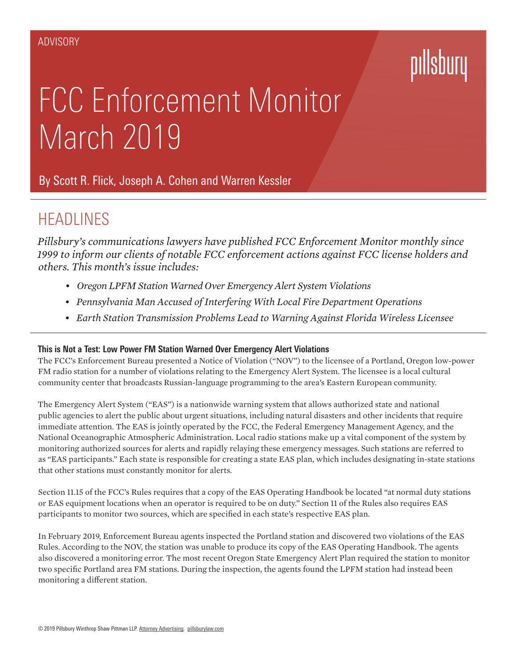# pillsbury

## FCC Enforcement Monitor March 2019

By [Scott R. Flick,](https://www.pillsburylaw.com/en/lawyers/scott-flick.html) [Joseph A. Cohen](https://www.pillsburylaw.com/en/lawyers/joseph-cohen.html) and [Warren Kessler](https://www.pillsburylaw.com/en/lawyers/warren-kessler.html)

### **HEADLINES**

*Pillsbury's communications lawyers have published FCC Enforcement Monitor monthly since 1999 to inform our clients of notable FCC enforcement actions against FCC license holders and others. This month's issue includes:*

- *• Oregon LPFM Station Warned Over Emergency Alert System Violations*
- *• Pennsylvania Man Accused of Interfering With Local Fire Department Operations*
- *• Earth Station Transmission Problems Lead to Warning Against Florida Wireless Licensee*

#### **This is Not a Test: Low Power FM Station Warned Over Emergency Alert Violations**

The FCC's Enforcement Bureau presented a Notice of Violation ("NOV") to the licensee of a Portland, Oregon low-power FM radio station for a number of violations relating to the Emergency Alert System. The licensee is a local cultural community center that broadcasts Russian-language programming to the area's Eastern European community.

The Emergency Alert System ("EAS") is a nationwide warning system that allows authorized state and national public agencies to alert the public about urgent situations, including natural disasters and other incidents that require immediate attention. The EAS is jointly operated by the FCC, the Federal Emergency Management Agency, and the National Oceanographic Atmospheric Administration. Local radio stations make up a vital component of the system by monitoring authorized sources for alerts and rapidly relaying these emergency messages. Such stations are referred to as "EAS participants." Each state is responsible for creating a state EAS plan, which includes designating in-state stations that other stations must constantly monitor for alerts.

Section 11.15 of the FCC's Rules requires that a copy of the EAS Operating Handbook be located "at normal duty stations or EAS equipment locations when an operator is required to be on duty." Section 11 of the Rules also requires EAS participants to monitor two sources, which are specified in each state's respective EAS plan.

In February 2019, Enforcement Bureau agents inspected the Portland station and discovered two violations of the EAS Rules. According to the NOV, the station was unable to produce its copy of the EAS Operating Handbook. The agents also discovered a monitoring error. The most recent Oregon State Emergency Alert Plan required the station to monitor two specific Portland area FM stations. During the inspection, the agents found the LPFM station had instead been monitoring a different station.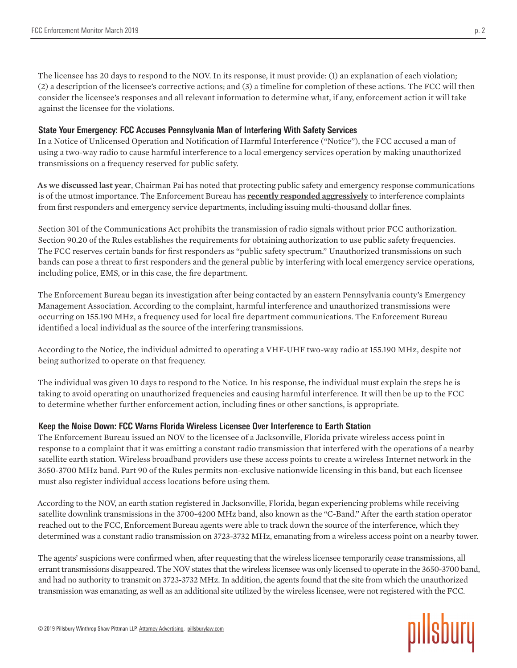The licensee has 20 days to respond to the NOV. In its response, it must provide: (1) an explanation of each violation; (2) a description of the licensee's corrective actions; and (3) a timeline for completion of these actions. The FCC will then consider the licensee's responses and all relevant information to determine what, if any, enforcement action it will take against the licensee for the violations.

#### **State Your Emergency: FCC Accuses Pennsylvania Man of Interfering With Safety Services**

In a Notice of Unlicensed Operation and Notification of Harmful Interference ("Notice"), the FCC accused a man of using a two-way radio to cause harmful interference to a local emergency services operation by making unauthorized transmissions on a frequency reserved for public safety.

**[As we discussed last year](https://www.commlawcenter.com/2018/10/fcc-enforcement-monitor-october-2018.html)**, Chairman Pai has noted that protecting public safety and emergency response communications is of the utmost importance. The Enforcement Bureau has **[recently responded aggressively](https://www.commlawcenter.com/2018/05/fcc-enforcement-monitor-may-2018.html)** to interference complaints from first responders and emergency service departments, including issuing multi-thousand dollar fines.

Section 301 of the Communications Act prohibits the transmission of radio signals without prior FCC authorization. Section 90.20 of the Rules establishes the requirements for obtaining authorization to use public safety frequencies. The FCC reserves certain bands for first responders as "public safety spectrum." Unauthorized transmissions on such bands can pose a threat to first responders and the general public by interfering with local emergency service operations, including police, EMS, or in this case, the fire department.

The Enforcement Bureau began its investigation after being contacted by an eastern Pennsylvania county's Emergency Management Association. According to the complaint, harmful interference and unauthorized transmissions were occurring on 155.190 MHz, a frequency used for local fire department communications. The Enforcement Bureau identified a local individual as the source of the interfering transmissions.

According to the Notice, the individual admitted to operating a VHF-UHF two-way radio at 155.190 MHz, despite not being authorized to operate on that frequency.

The individual was given 10 days to respond to the Notice. In his response, the individual must explain the steps he is taking to avoid operating on unauthorized frequencies and causing harmful interference. It will then be up to the FCC to determine whether further enforcement action, including fines or other sanctions, is appropriate.

#### **Keep the Noise Down: FCC Warns Florida Wireless Licensee Over Interference to Earth Station**

The Enforcement Bureau issued an NOV to the licensee of a Jacksonville, Florida private wireless access point in response to a complaint that it was emitting a constant radio transmission that interfered with the operations of a nearby satellite earth station. Wireless broadband providers use these access points to create a wireless Internet network in the 3650-3700 MHz band. Part 90 of the Rules permits non-exclusive nationwide licensing in this band, but each licensee must also register individual access locations before using them.

According to the NOV, an earth station registered in Jacksonville, Florida, began experiencing problems while receiving satellite downlink transmissions in the 3700-4200 MHz band, also known as the "C-Band." After the earth station operator reached out to the FCC, Enforcement Bureau agents were able to track down the source of the interference, which they determined was a constant radio transmission on 3723-3732 MHz, emanating from a wireless access point on a nearby tower.

The agents' suspicions were confirmed when, after requesting that the wireless licensee temporarily cease transmissions, all errant transmissions disappeared. The NOV states that the wireless licensee was only licensed to operate in the 3650-3700 band, and had no authority to transmit on 3723-3732 MHz. In addition, the agents found that the site from which the unauthorized transmission was emanating, as well as an additional site utilized by the wireless licensee, were not registered with the FCC.